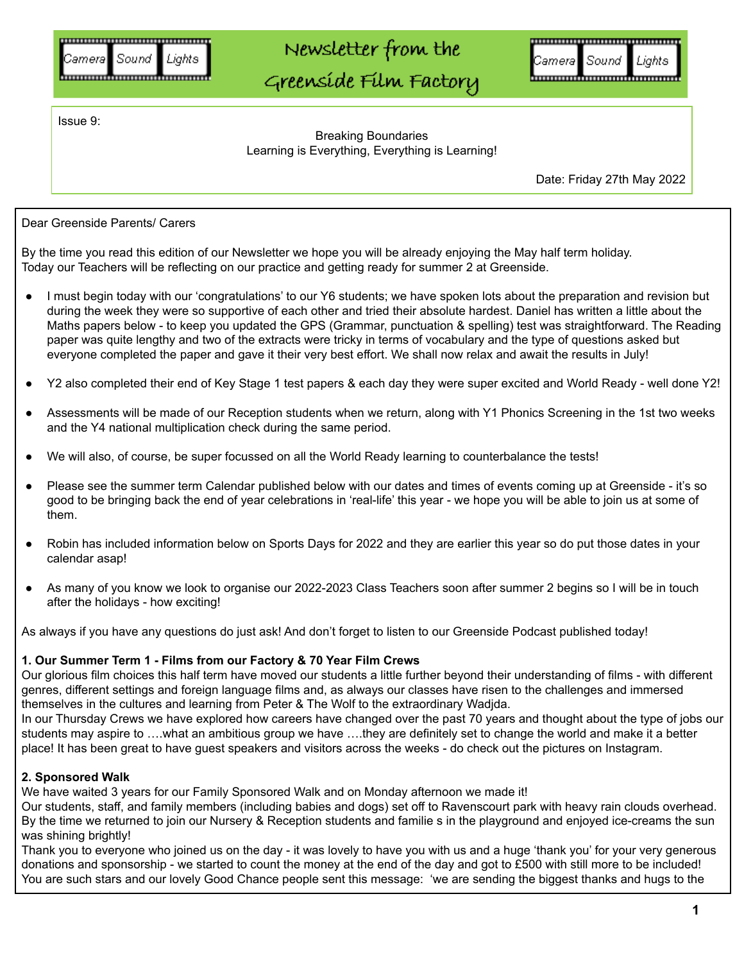# Newsletter from the

Greenside Film Factory

<u>,,,,,,,,,,,,,,,,,,,,,,,,,,,,,,,,,,,,</u> Sound Cameral Lights 

Issue 9:

Breaking Boundaries Learning is Everything, Everything is Learning!

Date: Friday 27th May 2022

Dear Greenside Parents/ Carers

By the time you read this edition of our Newsletter we hope you will be already enjoying the May half term holiday. Today our Teachers will be reflecting on our practice and getting ready for summer 2 at Greenside.

- I must begin today with our 'congratulations' to our Y6 students; we have spoken lots about the preparation and revision but during the week they were so supportive of each other and tried their absolute hardest. Daniel has written a little about the Maths papers below - to keep you updated the GPS (Grammar, punctuation & spelling) test was straightforward. The Reading paper was quite lengthy and two of the extracts were tricky in terms of vocabulary and the type of questions asked but everyone completed the paper and gave it their very best effort. We shall now relax and await the results in July!
- Y2 also completed their end of Key Stage 1 test papers & each day they were super excited and World Ready well done Y2!
- Assessments will be made of our Reception students when we return, along with Y1 Phonics Screening in the 1st two weeks and the Y4 national multiplication check during the same period.
- We will also, of course, be super focussed on all the World Ready learning to counterbalance the tests!
- Please see the summer term Calendar published below with our dates and times of events coming up at Greenside it's so good to be bringing back the end of year celebrations in 'real-life' this year - we hope you will be able to join us at some of them.
- Robin has included information below on Sports Days for 2022 and they are earlier this year so do put those dates in your calendar asap!
- As many of you know we look to organise our 2022-2023 Class Teachers soon after summer 2 begins so I will be in touch after the holidays - how exciting!

As always if you have any questions do just ask! And don't forget to listen to our Greenside Podcast published today!

### **1. Our Summer Term 1 - Films from our Factory & 70 Year Film Crews**

Our glorious film choices this half term have moved our students a little further beyond their understanding of films - with different genres, different settings and foreign language films and, as always our classes have risen to the challenges and immersed themselves in the cultures and learning from Peter & The Wolf to the extraordinary Wadjda.

In our Thursday Crews we have explored how careers have changed over the past 70 years and thought about the type of jobs our students may aspire to ….what an ambitious group we have ….they are definitely set to change the world and make it a better place! It has been great to have guest speakers and visitors across the weeks - do check out the pictures on Instagram.

### **2. Sponsored Walk**

We have waited 3 years for our Family Sponsored Walk and on Monday afternoon we made it!

Our students, staff, and family members (including babies and dogs) set off to Ravenscourt park with heavy rain clouds overhead. By the time we returned to join our Nursery & Reception students and familie s in the playground and enjoyed ice-creams the sun was shining brightly!

Thank you to everyone who joined us on the day - it was lovely to have you with us and a huge 'thank you' for your very generous donations and sponsorship - we started to count the money at the end of the day and got to £500 with still more to be included! You are such stars and our lovely Good Chance people sent this message: 'we are sending the biggest thanks and hugs to the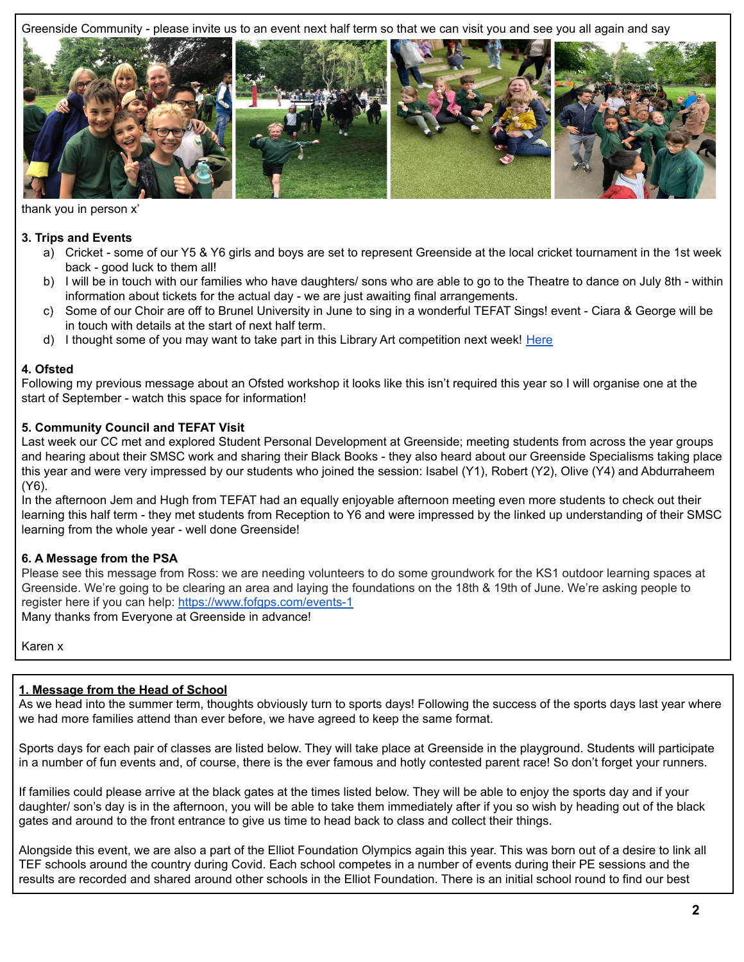Greenside Community - please invite us to an event next half term so that we can visit you and see you all again and say



thank you in person x'

# **3. Trips and Events**

- a) Cricket some of our Y5 & Y6 girls and boys are set to represent Greenside at the local cricket tournament in the 1st week back - good luck to them all!
- b) I will be in touch with our families who have daughters/ sons who are able to go to the Theatre to dance on July 8th within information about tickets for the actual day - we are just awaiting final arrangements.
- c) Some of our Choir are off to Brunel University in June to sing in a wonderful TEFAT Sings! event Ciara & George will be in touch with details at the start of next half term.
- d) I thought some of you may want to take part in this Library Art competition next week! [Here](https://drive.google.com/file/d/1RMYVowQsByEih5JwffMk9HQSC3WxzCXj/view?usp=sharing)

# **4. Ofsted**

Following my previous message about an Ofsted workshop it looks like this isn't required this year so I will organise one at the start of September - watch this space for information!

# **5. Community Council and TEFAT Visit**

Last week our CC met and explored Student Personal Development at Greenside; meeting students from across the year groups and hearing about their SMSC work and sharing their Black Books - they also heard about our Greenside Specialisms taking place this year and were very impressed by our students who joined the session: Isabel (Y1), Robert (Y2), Olive (Y4) and Abdurraheem (Y6).

In the afternoon Jem and Hugh from TEFAT had an equally enjoyable afternoon meeting even more students to check out their learning this half term - they met students from Reception to Y6 and were impressed by the linked up understanding of their SMSC learning from the whole year - well done Greenside!

# **6. A Message from the PSA**

Please see this message from Ross: we are needing volunteers to do some groundwork for the KS1 outdoor learning spaces at Greenside. We're going to be clearing an area and laying the foundations on the 18th & 19th of June. We're asking people to register here if you can help: <https://www.fofgps.com/events-1>

Many thanks from Everyone at Greenside in advance!

Karen x

# **1. Message from the Head of School**

As we head into the summer term, thoughts obviously turn to sports days! Following the success of the sports days last year where we had more families attend than ever before, we have agreed to keep the same format.

Sports days for each pair of classes are listed below. They will take place at Greenside in the playground. Students will participate in a number of fun events and, of course, there is the ever famous and hotly contested parent race! So don't forget your runners.

If families could please arrive at the black gates at the times listed below. They will be able to enjoy the sports day and if your daughter/ son's day is in the afternoon, you will be able to take them immediately after if you so wish by heading out of the black gates and around to the front entrance to give us time to head back to class and collect their things.

Alongside this event, we are also a part of the Elliot Foundation Olympics again this year. This was born out of a desire to link all TEF schools around the country during Covid. Each school competes in a number of events during their PE sessions and the results are recorded and shared around other schools in the Elliot Foundation. There is an initial school round to find our best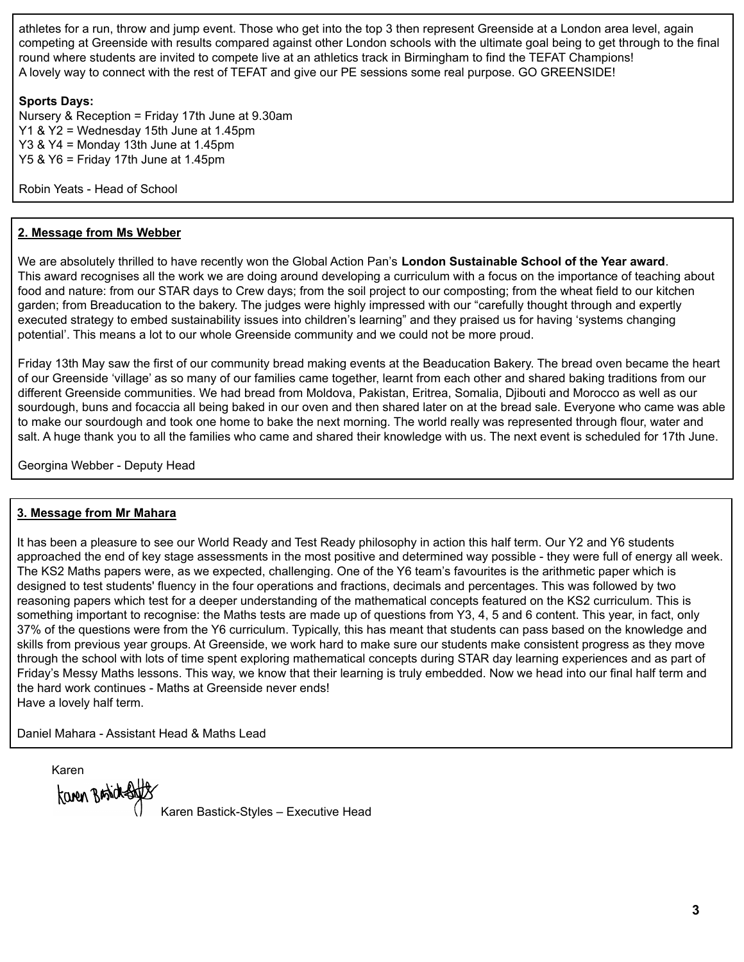athletes for a run, throw and jump event. Those who get into the top 3 then represent Greenside at a London area level, again competing at Greenside with results compared against other London schools with the ultimate goal being to get through to the final round where students are invited to compete live at an athletics track in Birmingham to find the TEFAT Champions! A lovely way to connect with the rest of TEFAT and give our PE sessions some real purpose. GO GREENSIDE!

### **Sports Days:**

Nursery & Reception = Friday 17th June at 9.30am Y1 & Y2 = Wednesday 15th June at 1.45pm Y3 & Y4 = Monday 13th June at 1.45pm Y5 & Y6 = Friday 17th June at 1.45pm

Robin Yeats - Head of School

# **2. Message from Ms Webber**

We are absolutely thrilled to have recently won the Global Action Pan's **London Sustainable School of the Year award**. This award recognises all the work we are doing around developing a curriculum with a focus on the importance of teaching about food and nature: from our STAR days to Crew days; from the soil project to our composting; from the wheat field to our kitchen garden; from Breaducation to the bakery. The judges were highly impressed with our "carefully thought through and expertly executed strategy to embed sustainability issues into children's learning" and they praised us for having 'systems changing potential'. This means a lot to our whole Greenside community and we could not be more proud.

Friday 13th May saw the first of our community bread making events at the Beaducation Bakery. The bread oven became the heart of our Greenside 'village' as so many of our families came together, learnt from each other and shared baking traditions from our different Greenside communities. We had bread from Moldova, Pakistan, Eritrea, Somalia, Djibouti and Morocco as well as our sourdough, buns and focaccia all being baked in our oven and then shared later on at the bread sale. Everyone who came was able to make our sourdough and took one home to bake the next morning. The world really was represented through flour, water and salt. A huge thank you to all the families who came and shared their knowledge with us. The next event is scheduled for 17th June.

Georgina Webber - Deputy Head

### **3. Message from Mr Mahara**

It has been a pleasure to see our World Ready and Test Ready philosophy in action this half term. Our Y2 and Y6 students approached the end of key stage assessments in the most positive and determined way possible - they were full of energy all week. The KS2 Maths papers were, as we expected, challenging. One of the Y6 team's favourites is the arithmetic paper which is designed to test students' fluency in the four operations and fractions, decimals and percentages. This was followed by two reasoning papers which test for a deeper understanding of the mathematical concepts featured on the KS2 curriculum. This is something important to recognise: the Maths tests are made up of questions from Y3, 4, 5 and 6 content. This year, in fact, only 37% of the questions were from the Y6 curriculum. Typically, this has meant that students can pass based on the knowledge and skills from previous year groups. At Greenside, we work hard to make sure our students make consistent progress as they move through the school with lots of time spent exploring mathematical concepts during STAR day learning experiences and as part of Friday's Messy Maths lessons. This way, we know that their learning is truly embedded. Now we head into our final half term and the hard work continues - Maths at Greenside never ends! Have a lovely half term.

Daniel Mahara - Assistant Head & Maths Lead

Karen

Karen Bastick-Ba

Karen Bastick-Styles – Executive Head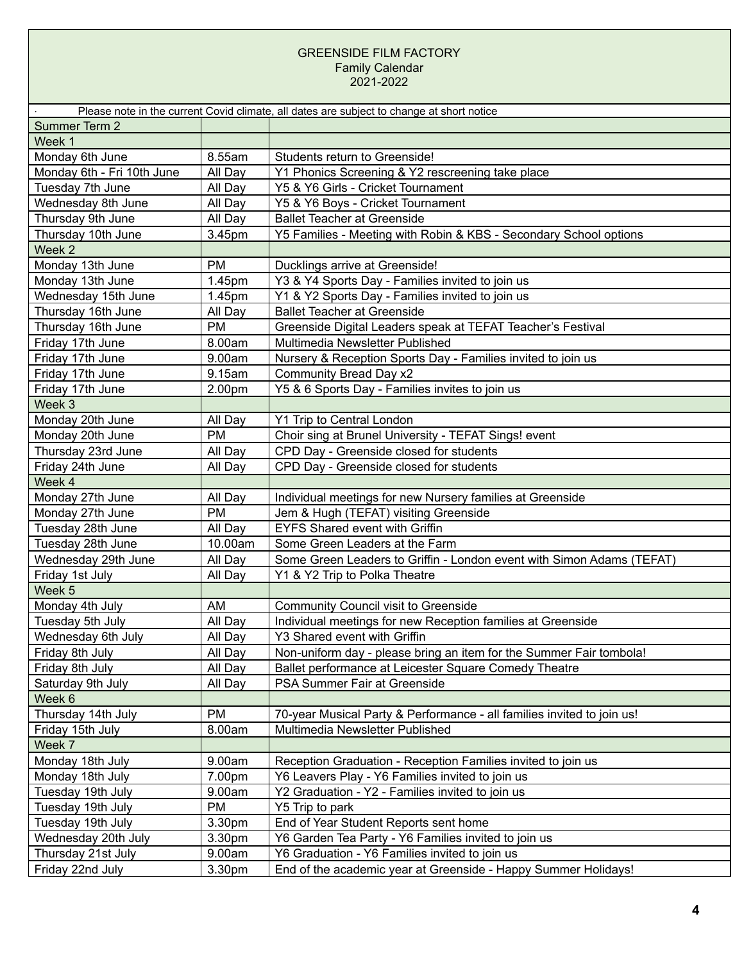### GREENSIDE FILM FACTORY Family Calendar 2021-2022

|                            |           | Please note in the current Covid climate, all dates are subject to change at short notice |
|----------------------------|-----------|-------------------------------------------------------------------------------------------|
| Summer Term 2              |           |                                                                                           |
| Week 1                     |           |                                                                                           |
| Monday 6th June            | 8.55am    | Students return to Greenside!                                                             |
| Monday 6th - Fri 10th June | All Day   | Y1 Phonics Screening & Y2 rescreening take place                                          |
| Tuesday 7th June           | All Day   | Y5 & Y6 Girls - Cricket Tournament                                                        |
| Wednesday 8th June         | All Day   | Y5 & Y6 Boys - Cricket Tournament                                                         |
| Thursday 9th June          | All Day   | <b>Ballet Teacher at Greenside</b>                                                        |
| Thursday 10th June         | 3.45pm    | Y5 Families - Meeting with Robin & KBS - Secondary School options                         |
| Week 2                     |           |                                                                                           |
| Monday 13th June           | <b>PM</b> | Ducklings arrive at Greenside!                                                            |
| Monday 13th June           | 1.45pm    | Y3 & Y4 Sports Day - Families invited to join us                                          |
| Wednesday 15th June        | 1.45pm    | Y1 & Y2 Sports Day - Families invited to join us                                          |
| Thursday 16th June         | All Day   | <b>Ballet Teacher at Greenside</b>                                                        |
| Thursday 16th June         | <b>PM</b> | Greenside Digital Leaders speak at TEFAT Teacher's Festival                               |
| Friday 17th June           | 8.00am    | Multimedia Newsletter Published                                                           |
| Friday 17th June           | 9.00am    | Nursery & Reception Sports Day - Families invited to join us                              |
| Friday 17th June           | 9.15am    | Community Bread Day x2                                                                    |
| Friday 17th June           | 2.00pm    | Y5 & 6 Sports Day - Families invites to join us                                           |
| Week 3                     |           |                                                                                           |
| Monday 20th June           | All Day   | Y1 Trip to Central London                                                                 |
| Monday 20th June           | <b>PM</b> | Choir sing at Brunel University - TEFAT Sings! event                                      |
| Thursday 23rd June         | All Day   | CPD Day - Greenside closed for students                                                   |
| Friday 24th June           | All Day   | CPD Day - Greenside closed for students                                                   |
| Week 4                     |           |                                                                                           |
| Monday 27th June           | All Day   | Individual meetings for new Nursery families at Greenside                                 |
| Monday 27th June           | <b>PM</b> | Jem & Hugh (TEFAT) visiting Greenside                                                     |
| Tuesday 28th June          | All Day   | <b>EYFS Shared event with Griffin</b>                                                     |
| Tuesday 28th June          | 10.00am   | Some Green Leaders at the Farm                                                            |
| Wednesday 29th June        | All Day   | Some Green Leaders to Griffin - London event with Simon Adams (TEFAT)                     |
| Friday 1st July            | All Day   | Y1 & Y2 Trip to Polka Theatre                                                             |
| Week 5                     |           |                                                                                           |
| Monday 4th July            | AM        | <b>Community Council visit to Greenside</b>                                               |
| Tuesday 5th July           | All Day   | Individual meetings for new Reception families at Greenside                               |
| Wednesday 6th July         | All Day   | Y3 Shared event with Griffin                                                              |
| Friday 8th July            | All Day   | Non-uniform day - please bring an item for the Summer Fair tombola!                       |
| Friday 8th July            | All Day   | Ballet performance at Leicester Square Comedy Theatre                                     |
| Saturday 9th July          | All Day   | PSA Summer Fair at Greenside                                                              |
| Week 6                     |           |                                                                                           |
| Thursday 14th July         | <b>PM</b> | 70-year Musical Party & Performance - all families invited to join us!                    |
| Friday 15th July           | 8.00am    | Multimedia Newsletter Published                                                           |
| Week 7                     |           |                                                                                           |
| Monday 18th July           | 9.00am    | Reception Graduation - Reception Families invited to join us                              |
| Monday 18th July           | 7.00pm    | Y6 Leavers Play - Y6 Families invited to join us                                          |
| Tuesday 19th July          | 9.00am    | Y2 Graduation - Y2 - Families invited to join us                                          |
| Tuesday 19th July          | PM        | Y5 Trip to park                                                                           |
| Tuesday 19th July          | 3.30pm    | End of Year Student Reports sent home                                                     |
| Wednesday 20th July        | 3.30pm    | Y6 Garden Tea Party - Y6 Families invited to join us                                      |
| Thursday 21st July         | 9.00am    | Y6 Graduation - Y6 Families invited to join us                                            |
| Friday 22nd July           | 3.30pm    | End of the academic year at Greenside - Happy Summer Holidays!                            |
|                            |           |                                                                                           |